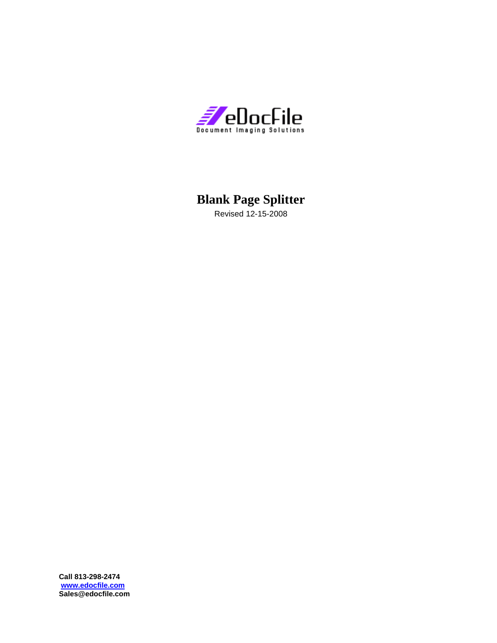

# **Blank Page Splitter**

Revised 12-15-2008

**Call 813-298-2474 www.edocfile.com Sales@edocfile.com**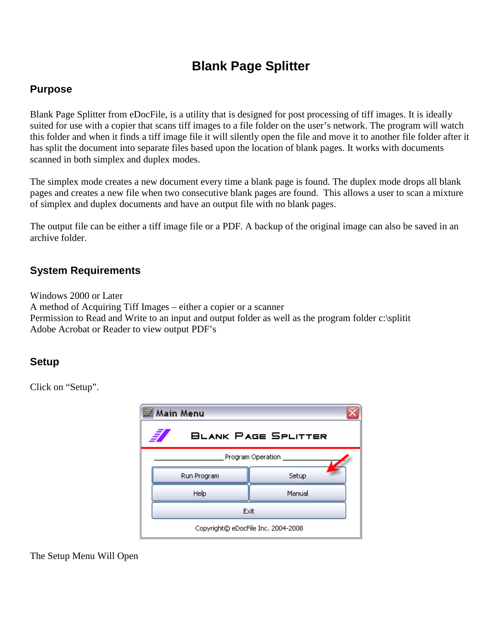# **Blank Page Splitter**

### **Purpose**

Blank Page Splitter from eDocFile, is a utility that is designed for post processing of tiff images. It is ideally suited for use with a copier that scans tiff images to a file folder on the user's network. The program will watch this folder and when it finds a tiff image file it will silently open the file and move it to another file folder after it has split the document into separate files based upon the location of blank pages. It works with documents scanned in both simplex and duplex modes.

The simplex mode creates a new document every time a blank page is found. The duplex mode drops all blank pages and creates a new file when two consecutive blank pages are found. This allows a user to scan a mixture of simplex and duplex documents and have an output file with no blank pages.

The output file can be either a tiff image file or a PDF. A backup of the original image can also be saved in an archive folder.

### **System Requirements**

Windows 2000 or Later A method of Acquiring Tiff Images – either a copier or a scanner Permission to Read and Write to an input and output folder as well as the program folder c:\splitit Adobe Acrobat or Reader to view output PDF's

#### **Setup**

Click on "Setup".

| Main Menu                          |             |                            |  |  |
|------------------------------------|-------------|----------------------------|--|--|
|                                    |             | <b>BLANK PAGE SPLITTER</b> |  |  |
| Program Operation                  |             |                            |  |  |
|                                    | Run Program | Setup                      |  |  |
|                                    | Help        | Manual                     |  |  |
|                                    | Exit        |                            |  |  |
| Copyright© eDocFile Inc. 2004-2008 |             |                            |  |  |

The Setup Menu Will Open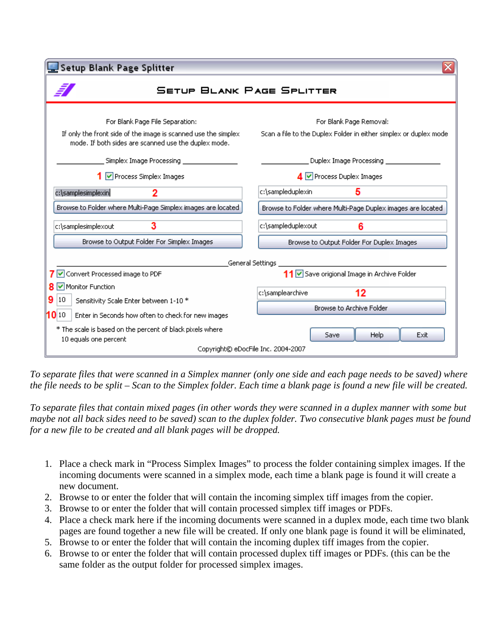| Setup Blank Page Splitter                                                                                              |                                                                   |  |  |  |  |
|------------------------------------------------------------------------------------------------------------------------|-------------------------------------------------------------------|--|--|--|--|
| <b>SETUP BLANK PAGE SPLITTER</b>                                                                                       |                                                                   |  |  |  |  |
| For Blank Page File Separation:                                                                                        | For Blank Page Removal:                                           |  |  |  |  |
| If only the front side of the image is scanned use the simplex<br>mode. If both sides are scanned use the duplex mode. | Scan a file to the Duplex Folder in either simplex or duplex mode |  |  |  |  |
| Simplex Image Processing                                                                                               | Duplex Image Processing ___________                               |  |  |  |  |
| 1 Ø Process Simplex Images                                                                                             | $\overline{4}$ $\overline{\vee}$ Process Duplex Images            |  |  |  |  |
| 2<br>c:\samplesimplexin                                                                                                | c:\sampleduplexin<br>5                                            |  |  |  |  |
| Browse to Folder where Multi-Page Simplex images are located                                                           | Browse to Folder where Multi-Page Duplex images are located       |  |  |  |  |
| 3<br>c:\samplesimplexout                                                                                               | c:\sampleduplexout<br>6                                           |  |  |  |  |
| Browse to Output Folder For Simplex Images                                                                             | Browse to Output Folder For Duplex Images                         |  |  |  |  |
| General Settings                                                                                                       |                                                                   |  |  |  |  |
| 7 Ø Convert Processed image to PDF                                                                                     | 11 Save origional Image in Archive Folder                         |  |  |  |  |
| 8 Monitor Function                                                                                                     | 12<br>c:\samplearchive                                            |  |  |  |  |
| 9<br>10<br>Sensitivity Scale Enter between 1-10 *                                                                      |                                                                   |  |  |  |  |
| 10 10<br>Enter in Seconds how often to check for new images                                                            |                                                                   |  |  |  |  |
| * The scale is based on the percent of black pixels where                                                              | <b>Save</b>                                                       |  |  |  |  |
| Copyright© eDocFile Inc. 2004-2007                                                                                     |                                                                   |  |  |  |  |
| 10 equals one percent                                                                                                  | Browse to Archive Folder<br>Help<br>Exit                          |  |  |  |  |

*To separate files that were scanned in a Simplex manner (only one side and each page needs to be saved) where the file needs to be split – Scan to the Simplex folder. Each time a blank page is found a new file will be created.* 

*To separate files that contain mixed pages (in other words they were scanned in a duplex manner with some but maybe not all back sides need to be saved) scan to the duplex folder. Two consecutive blank pages must be found for a new file to be created and all blank pages will be dropped.* 

- 1. Place a check mark in "Process Simplex Images" to process the folder containing simplex images. If the incoming documents were scanned in a simplex mode, each time a blank page is found it will create a new document.
- 2. Browse to or enter the folder that will contain the incoming simplex tiff images from the copier.
- 3. Browse to or enter the folder that will contain processed simplex tiff images or PDFs.
- 4. Place a check mark here if the incoming documents were scanned in a duplex mode, each time two blank pages are found together a new file will be created. If only one blank page is found it will be eliminated,
- 5. Browse to or enter the folder that will contain the incoming duplex tiff images from the copier.
- 6. Browse to or enter the folder that will contain processed duplex tiff images or PDFs. (this can be the same folder as the output folder for processed simplex images.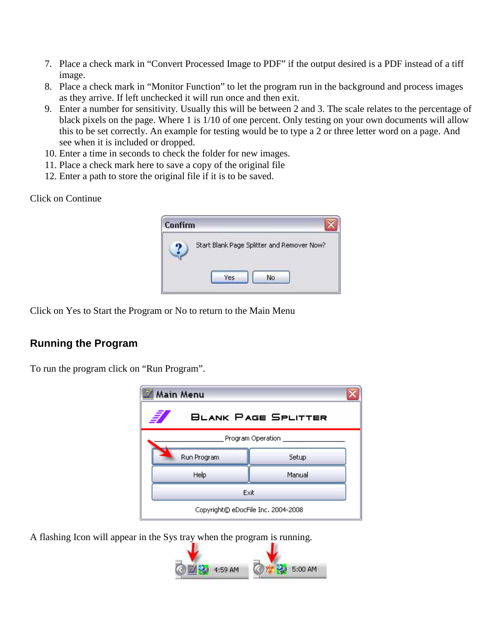- 7. Place a check mark in "Convert Processed Image to PDF" if the output desired is a PDF instead of a tiff image.
- 8. Place a check mark in "Monitor Function" to let the program run in the background and process images as they arrive. If left unchecked it will run once and then exit.
- 9. Enter a number for sensitivity. Usually this will be between 2 and 3. The scale relates to the percentage of black pixels on the page. Where 1 is 1/10 of one percent. Only testing on your own documents will allow this to be set correctly. An example for testing would be to type a 2 or three letter word on a page. And see when it is included or dropped.
- 10. Enter a time in seconds to check the folder for new images.
- 11. Place a check mark here to save a copy of the original file
- 12. Enter a path to store the original file if it is to be saved.

#### Click on Continue



Click on Yes to Start the Program or No to return to the Main Menu

## **Running the Program**

To run the program click on "Run Program".



A flashing Icon will appear in the Sys tray when the program is running.